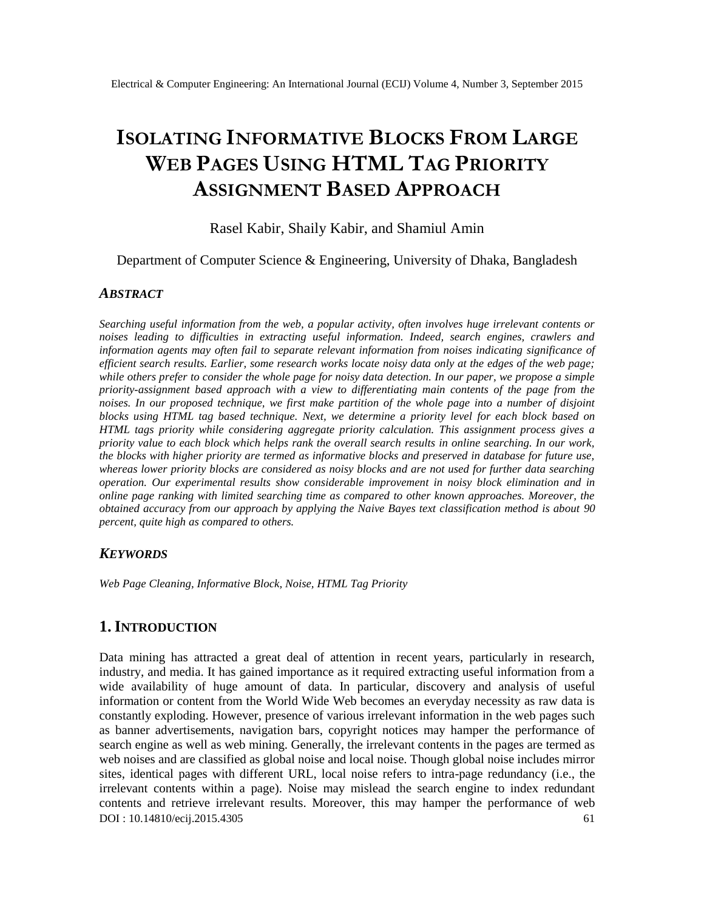# **ISOLATING INFORMATIVE BLOCKS FROM LARGE WEB PAGES USING HTML TAG PRIORITY ASSIGNMENT BASED APPROACH**

Rasel Kabir, Shaily Kabir, and Shamiul Amin

Department of Computer Science & Engineering, University of Dhaka, Bangladesh

### *ABSTRACT*

*Searching useful information from the web, a popular activity, often involves huge irrelevant contents or noises leading to difficulties in extracting useful information. Indeed, search engines, crawlers and information agents may often fail to separate relevant information from noises indicating significance of efficient search results. Earlier, some research works locate noisy data only at the edges of the web page; while others prefer to consider the whole page for noisy data detection. In our paper, we propose a simple priority-assignment based approach with a view to differentiating main contents of the page from the noises. In our proposed technique, we first make partition of the whole page into a number of disjoint blocks using HTML tag based technique. Next, we determine a priority level for each block based on HTML tags priority while considering aggregate priority calculation. This assignment process gives a priority value to each block which helps rank the overall search results in online searching. In our work, the blocks with higher priority are termed as informative blocks and preserved in database for future use, whereas lower priority blocks are considered as noisy blocks and are not used for further data searching operation. Our experimental results show considerable improvement in noisy block elimination and in online page ranking with limited searching time as compared to other known approaches. Moreover, the obtained accuracy from our approach by applying the Naive Bayes text classification method is about 90 percent, quite high as compared to others.*

### *KEYWORDS*

*Web Page Cleaning, Informative Block, Noise, HTML Tag Priority*

# **1.INTRODUCTION**

DOI : 10.14810/ecij.2015.4305 61 Data mining has attracted a great deal of attention in recent years, particularly in research, industry, and media. It has gained importance as it required extracting useful information from a wide availability of huge amount of data. In particular, discovery and analysis of useful information or content from the World Wide Web becomes an everyday necessity as raw data is constantly exploding. However, presence of various irrelevant information in the web pages such as banner advertisements, navigation bars, copyright notices may hamper the performance of search engine as well as web mining. Generally, the irrelevant contents in the pages are termed as web noises and are classified as global noise and local noise. Though global noise includes mirror sites, identical pages with different URL, local noise refers to intra-page redundancy (i.e., the irrelevant contents within a page). Noise may mislead the search engine to index redundant contents and retrieve irrelevant results. Moreover, this may hamper the performance of web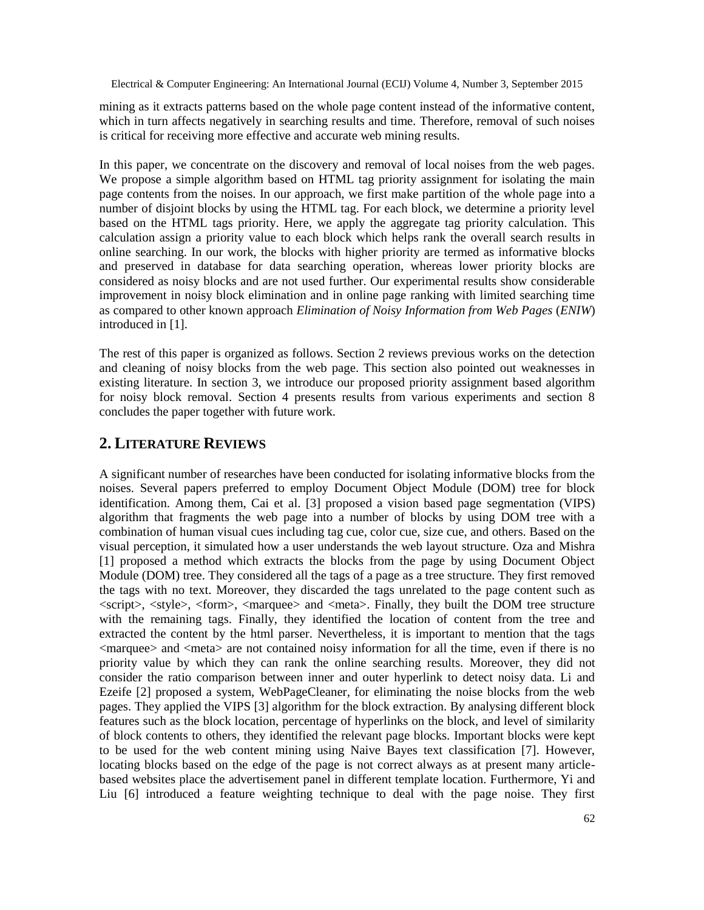mining as it extracts patterns based on the whole page content instead of the informative content, which in turn affects negatively in searching results and time. Therefore, removal of such noises is critical for receiving more effective and accurate web mining results.

In this paper, we concentrate on the discovery and removal of local noises from the web pages. We propose a simple algorithm based on HTML tag priority assignment for isolating the main page contents from the noises. In our approach, we first make partition of the whole page into a number of disjoint blocks by using the HTML tag. For each block, we determine a priority level based on the HTML tags priority. Here, we apply the aggregate tag priority calculation. This calculation assign a priority value to each block which helps rank the overall search results in online searching. In our work, the blocks with higher priority are termed as informative blocks and preserved in database for data searching operation, whereas lower priority blocks are considered as noisy blocks and are not used further. Our experimental results show considerable improvement in noisy block elimination and in online page ranking with limited searching time as compared to other known approach *Elimination of Noisy Information from Web Pages* (*ENIW*) introduced in [1].

The rest of this paper is organized as follows. Section 2 reviews previous works on the detection and cleaning of noisy blocks from the web page. This section also pointed out weaknesses in existing literature. In section 3, we introduce our proposed priority assignment based algorithm for noisy block removal. Section 4 presents results from various experiments and section 8 concludes the paper together with future work.

## **2. LITERATURE REVIEWS**

A significant number of researches have been conducted for isolating informative blocks from the noises. Several papers preferred to employ Document Object Module (DOM) tree for block identification. Among them, Cai et al. [3] proposed a vision based page segmentation (VIPS) algorithm that fragments the web page into a number of blocks by using DOM tree with a combination of human visual cues including tag cue, color cue, size cue, and others. Based on the visual perception, it simulated how a user understands the web layout structure. Oza and Mishra [1] proposed a method which extracts the blocks from the page by using Document Object Module (DOM) tree. They considered all the tags of a page as a tree structure. They first removed the tags with no text. Moreover, they discarded the tags unrelated to the page content such as  $\langle \text{script} \rangle$ ,  $\langle \text{style} \rangle$ ,  $\langle \text{form} \rangle$ ,  $\langle \text{marguee} \rangle$  and  $\langle \text{meta} \rangle$ . Finally, they built the DOM tree structure with the remaining tags. Finally, they identified the location of content from the tree and extracted the content by the html parser. Nevertheless, it is important to mention that the tags  $\alpha$  <marquee> and  $\alpha$  are not contained noisy information for all the time, even if there is no priority value by which they can rank the online searching results. Moreover, they did not consider the ratio comparison between inner and outer hyperlink to detect noisy data. Li and Ezeife [2] proposed a system, WebPageCleaner, for eliminating the noise blocks from the web pages. They applied the VIPS [3] algorithm for the block extraction. By analysing different block features such as the block location, percentage of hyperlinks on the block, and level of similarity of block contents to others, they identified the relevant page blocks. Important blocks were kept to be used for the web content mining using Naive Bayes text classification [7]. However, locating blocks based on the edge of the page is not correct always as at present many articlebased websites place the advertisement panel in different template location. Furthermore, Yi and Liu [6] introduced a feature weighting technique to deal with the page noise. They first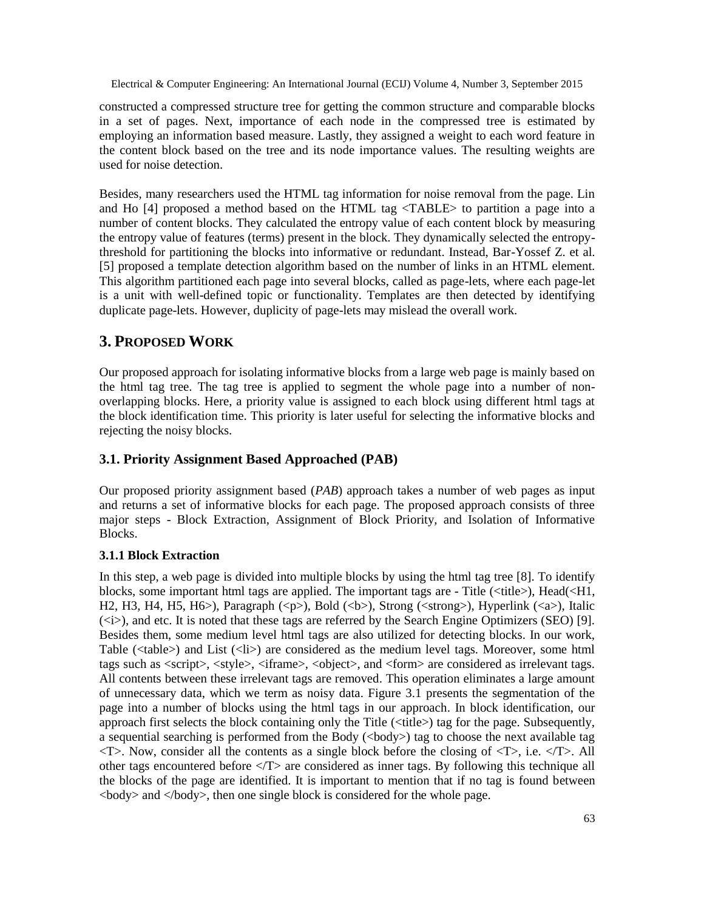constructed a compressed structure tree for getting the common structure and comparable blocks in a set of pages. Next, importance of each node in the compressed tree is estimated by employing an information based measure. Lastly, they assigned a weight to each word feature in the content block based on the tree and its node importance values. The resulting weights are used for noise detection.

Besides, many researchers used the HTML tag information for noise removal from the page. Lin and Ho [4] proposed a method based on the HTML tag <TABLE> to partition a page into a number of content blocks. They calculated the entropy value of each content block by measuring the entropy value of features (terms) present in the block. They dynamically selected the entropythreshold for partitioning the blocks into informative or redundant. Instead, Bar-Yossef Z. et al. [5] proposed a template detection algorithm based on the number of links in an HTML element. This algorithm partitioned each page into several blocks, called as page-lets, where each page-let is a unit with well-defined topic or functionality. Templates are then detected by identifying duplicate page-lets. However, duplicity of page-lets may mislead the overall work.

# **3. PROPOSED WORK**

Our proposed approach for isolating informative blocks from a large web page is mainly based on the html tag tree. The tag tree is applied to segment the whole page into a number of nonoverlapping blocks. Here, a priority value is assigned to each block using different html tags at the block identification time. This priority is later useful for selecting the informative blocks and rejecting the noisy blocks.

### **3.1. Priority Assignment Based Approached (PAB)**

Our proposed priority assignment based (*PAB*) approach takes a number of web pages as input and returns a set of informative blocks for each page. The proposed approach consists of three major steps - Block Extraction, Assignment of Block Priority, and Isolation of Informative Blocks.

### **3.1.1 Block Extraction**

In this step, a web page is divided into multiple blocks by using the html tag tree [8]. To identify blocks, some important html tags are applied. The important tags are - Title ( $\lt$ title $\gt$ ), Head( $\lt$ H1, H2, H3, H4, H5, H6>), Paragraph (<p>), Bold (<br/>sb>), Strong (<strong>), Hyperlink (<a>), Italic (<i>), and etc. It is noted that these tags are referred by the Search Engine Optimizers (SEO) [9]. Besides them, some medium level html tags are also utilized for detecting blocks. In our work, Table (<table>) and List (<li>) are considered as the medium level tags. Moreover, some html tags such as <script>, <style>, <iframe>, <object>, and <form> are considered as irrelevant tags. All contents between these irrelevant tags are removed. This operation eliminates a large amount of unnecessary data, which we term as noisy data. Figure 3.1 presents the segmentation of the page into a number of blocks using the html tags in our approach. In block identification, our approach first selects the block containing only the Title (<title>) tag for the page. Subsequently, a sequential searching is performed from the Body (<br/>body>) tag to choose the next available tag  $\langle$ T>. Now, consider all the contents as a single block before the closing of  $\langle$ T>, i.e.  $\langle$ T>. All other tags encountered before  $\langle T \rangle$  are considered as inner tags. By following this technique all the blocks of the page are identified. It is important to mention that if no tag is found between  $\langle \text{body}\rangle$  and  $\langle \text{body}\rangle$ , then one single block is considered for the whole page.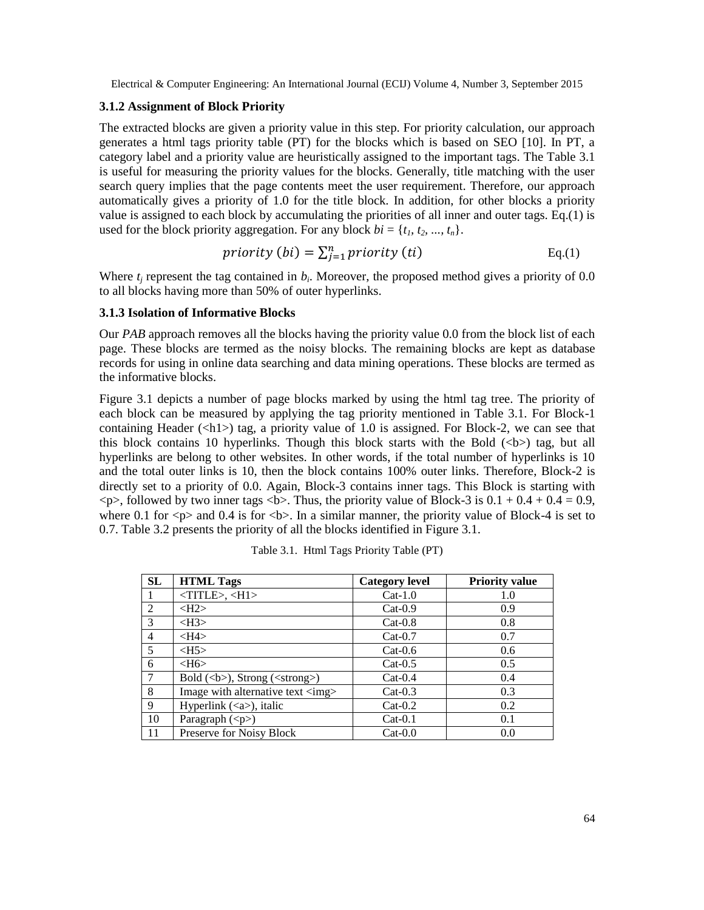### **3.1.2 Assignment of Block Priority**

The extracted blocks are given a priority value in this step. For priority calculation, our approach generates a html tags priority table (PT) for the blocks which is based on SEO [10]. In PT, a category label and a priority value are heuristically assigned to the important tags. The Table 3.1 is useful for measuring the priority values for the blocks. Generally, title matching with the user search query implies that the page contents meet the user requirement. Therefore, our approach automatically gives a priority of 1.0 for the title block. In addition, for other blocks a priority value is assigned to each block by accumulating the priorities of all inner and outer tags. Eq.(1) is used for the block priority aggregation. For any block  $bi = \{t_1, t_2, ..., t_n\}$ .

$$
priority (bi) = \sum_{j=1}^{n} priority (ti)
$$
 Eq.(1)

Where  $t_j$  represent the tag contained in  $b_i$ . Moreover, the proposed method gives a priority of 0.0 to all blocks having more than 50% of outer hyperlinks.

#### **3.1.3 Isolation of Informative Blocks**

Our *PAB* approach removes all the blocks having the priority value 0.0 from the block list of each page. These blocks are termed as the noisy blocks. The remaining blocks are kept as database records for using in online data searching and data mining operations. These blocks are termed as the informative blocks.

Figure 3.1 depicts a number of page blocks marked by using the html tag tree. The priority of each block can be measured by applying the tag priority mentioned in Table 3.1. For Block-1 containing Header ( $\langle \text{h1>}\rangle$ ) tag, a priority value of 1.0 is assigned. For Block-2, we can see that this block contains 10 hyperlinks. Though this block starts with the Bold  $(\langle b \rangle)$  tag, but all hyperlinks are belong to other websites. In other words, if the total number of hyperlinks is 10 and the total outer links is 10, then the block contains 100% outer links. Therefore, Block-2 is directly set to a priority of 0.0. Again, Block-3 contains inner tags. This Block is starting with  $\langle p \rangle$ , followed by two inner tags  $\langle b \rangle$ . Thus, the priority value of Block-3 is  $0.1 + 0.4 + 0.4 = 0.9$ , where 0.1 for  $\langle p \rangle$  and 0.4 is for  $\langle b \rangle$ . In a similar manner, the priority value of Block-4 is set to 0.7. Table 3.2 presents the priority of all the blocks identified in Figure 3.1.

| <b>SL</b>      | <b>HTML Tags</b>                            | <b>Category level</b> | <b>Priority value</b> |
|----------------|---------------------------------------------|-----------------------|-----------------------|
|                | $\langle TITLE \rangle, \langle H1 \rangle$ | $Cat-1.0$             | 1.0                   |
| 2              | H2                                          | $Cat-0.9$             | 0.9                   |
| 3              | $<$ H3>                                     | $Cat-0.8$             | 0.8                   |
| $\overline{4}$ | H4>                                         | $Cat-0.7$             | 0.7                   |
| 5              | $<$ H5 $>$                                  | $Cat-0.6$             | 0.6                   |
| 6              | H6                                          | $Cat-0.5$             | 0.5                   |
| 7              | Bold $(b)$ , Strong $(<\text{strong}$ )     | $Cat-0.4$             | 0.4                   |
| 8              | Image with alternative text <img/>          | $Cat-0.3$             | 0.3                   |
| 9              | Hyperlink $(\langle a \rangle)$ , italic    | $Cat-0.2$             | 0.2                   |
| 10             | Paragraph ( <p>)</p>                        | $Cat-0.1$             | 0.1                   |
| 11             | Preserve for Noisy Block                    | $Cat-0.0$             | 0.0                   |

| Table 3.1. Html Tags Priority Table (PT) |  |  |
|------------------------------------------|--|--|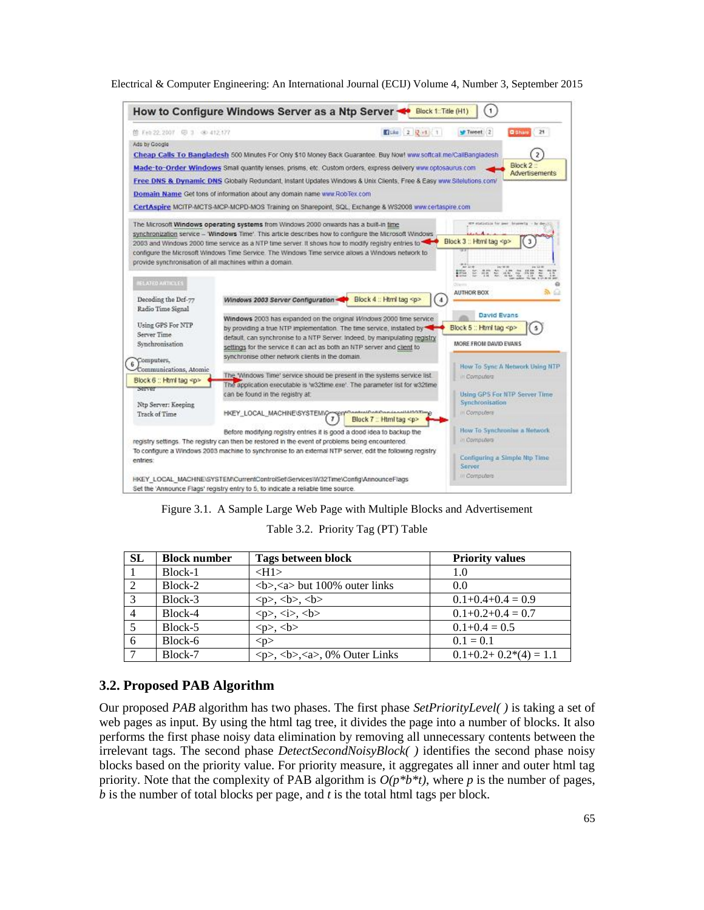

Figure 3.1. A Sample Large Web Page with Multiple Blocks and Advertisement

Table 3.2. Priority Tag (PT) Table

| <b>SL</b> | <b>Block number</b> | Tags between block                                                                  | <b>Priority values</b> |
|-----------|---------------------|-------------------------------------------------------------------------------------|------------------------|
|           | Block-1             | $<$ H1 $>$                                                                          | 1.0                    |
|           | Block-2             | $5$ $3$ $5$ and 100% outer links                                                    | 0.0                    |
|           | Block-3             | <p>, <b>, <b></b></b></p>                                                           | $0.1+0.4+0.4=0.9$      |
|           | Block-4             | <p>, <i>is</i>, <b>is</b></p>                                                       | $0.1+0.2+0.4=0.7$      |
|           | Block-5             | <p>, <b>ob</b></p>                                                                  | $0.1+0.4=0.5$          |
|           | Block-6             | $<$ p $>$                                                                           | $0.1 = 0.1$            |
|           | Block-7             | $\langle p \rangle$ , $\langle b \rangle$ , $\langle a \rangle$ , $0\%$ Outer Links | $0.1+0.2+0.2*(4)=1.1$  |

# **3.2. Proposed PAB Algorithm**

Our proposed *PAB* algorithm has two phases. The first phase *SetPriorityLevel( )* is taking a set of web pages as input. By using the html tag tree, it divides the page into a number of blocks. It also performs the first phase noisy data elimination by removing all unnecessary contents between the irrelevant tags. The second phase *DetectSecondNoisyBlock( )* identifies the second phase noisy blocks based on the priority value. For priority measure, it aggregates all inner and outer html tag priority. Note that the complexity of PAB algorithm is  $O(p^*b^*t)$ , where *p* is the number of pages, *b* is the number of total blocks per page, and *t* is the total html tags per block.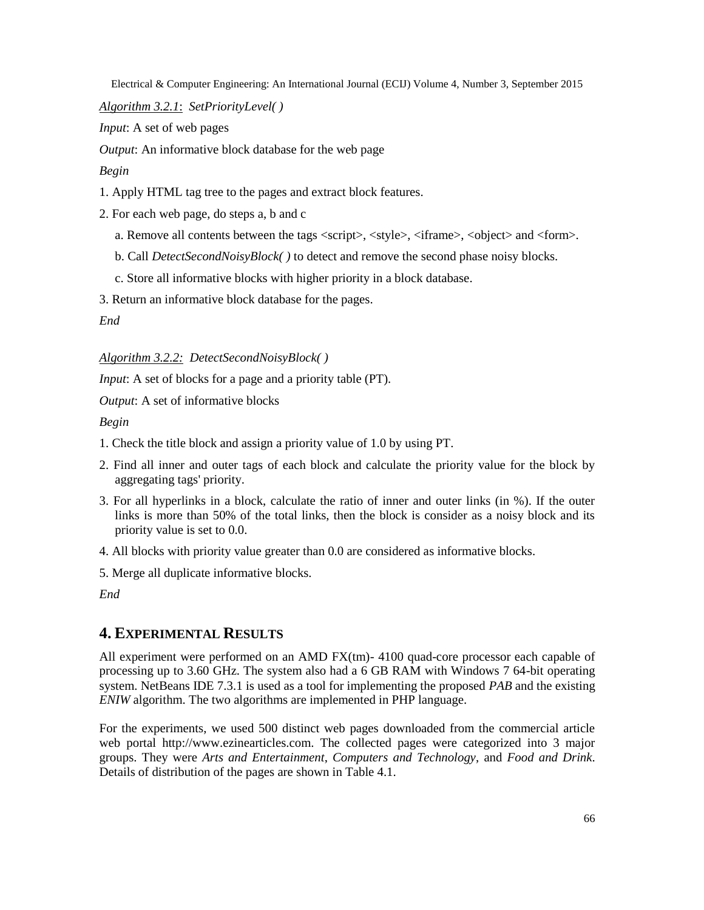*Algorithm 3.2.1*: *SetPriorityLevel( )*

*Input*: A set of web pages

*Output*: An informative block database for the web page

*Begin*

- 1. Apply HTML tag tree to the pages and extract block features.
- 2. For each web page, do steps a, b and c
	- a. Remove all contents between the tags <script>, <style>, <iframe>, <object> and <form>.
	- b. Call *DetectSecondNoisyBlock( )* to detect and remove the second phase noisy blocks.
	- c. Store all informative blocks with higher priority in a block database.
- 3. Return an informative block database for the pages.

*End*

*Algorithm 3.2.2: DetectSecondNoisyBlock( )*

*Input*: A set of blocks for a page and a priority table (PT).

*Output*: A set of informative blocks

*Begin*

- 1. Check the title block and assign a priority value of 1.0 by using PT.
- 2. Find all inner and outer tags of each block and calculate the priority value for the block by aggregating tags' priority.
- 3. For all hyperlinks in a block, calculate the ratio of inner and outer links (in %). If the outer links is more than 50% of the total links, then the block is consider as a noisy block and its priority value is set to 0.0.
- 4. All blocks with priority value greater than 0.0 are considered as informative blocks.
- 5. Merge all duplicate informative blocks.

*End*

# **4. EXPERIMENTAL RESULTS**

All experiment were performed on an AMD FX(tm)- 4100 quad-core processor each capable of processing up to 3.60 GHz. The system also had a 6 GB RAM with Windows 7 64-bit operating system. NetBeans IDE 7.3.1 is used as a tool for implementing the proposed *PAB* and the existing *ENIW* algorithm. The two algorithms are implemented in PHP language.

For the experiments, we used 500 distinct web pages downloaded from the commercial article web portal [http://www.ezinearticles.com.](http://www.ezinearticles.com/) The collected pages were categorized into 3 major groups. They were *Arts and Entertainment*, *Computers and Technology*, and *Food and Drink*. Details of distribution of the pages are shown in Table 4.1.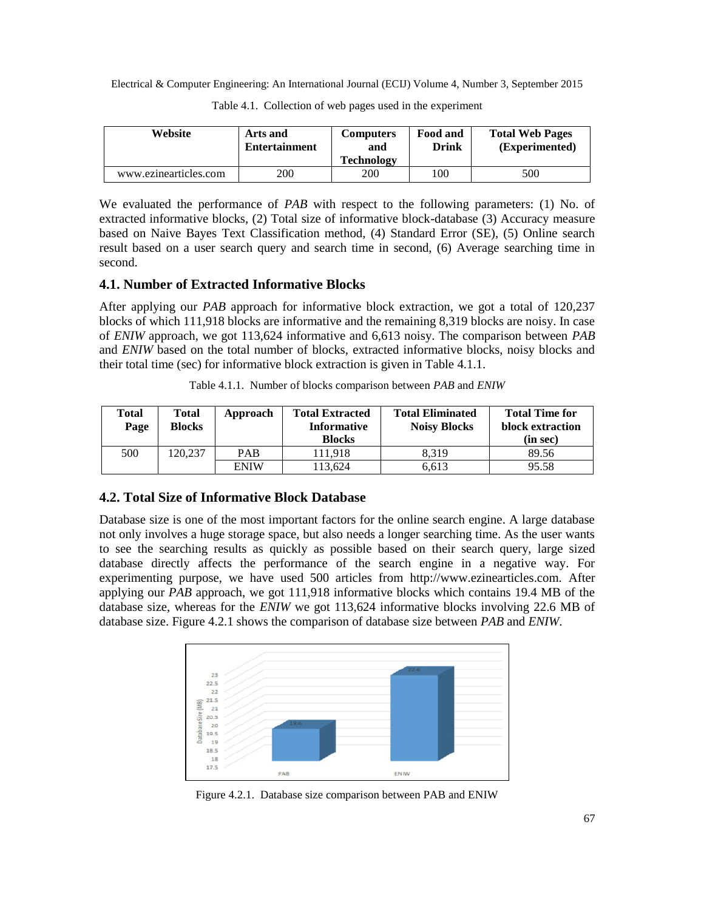| Website               | Arts and<br><b>Entertainment</b> | <b>Computers</b><br>and<br><b>Technology</b> | Food and<br><b>Drink</b> | <b>Total Web Pages</b><br>(Experimented) |
|-----------------------|----------------------------------|----------------------------------------------|--------------------------|------------------------------------------|
| www.ezinearticles.com | 200                              | 200                                          | 100                      | 500                                      |

Table 4.1. Collection of web pages used in the experiment

We evaluated the performance of *PAB* with respect to the following parameters: (1) No. of extracted informative blocks, (2) Total size of informative block-database (3) Accuracy measure based on Naive Bayes Text Classification method, (4) Standard Error (SE), (5) Online search result based on a user search query and search time in second, (6) Average searching time in second.

### **4.1. Number of Extracted Informative Blocks**

After applying our *PAB* approach for informative block extraction, we got a total of 120,237 blocks of which 111,918 blocks are informative and the remaining 8,319 blocks are noisy. In case of *ENIW* approach, we got 113,624 informative and 6,613 noisy. The comparison between *PAB* and *ENIW* based on the total number of blocks, extracted informative blocks, noisy blocks and their total time (sec) for informative block extraction is given in Table 4.1.1.

Table 4.1.1. Number of blocks comparison between *PAB* and *ENIW*

| Total<br>Page | Total<br><b>Blocks</b> | Approach    | <b>Total Extracted</b><br><b>Informative</b><br><b>Blocks</b> | <b>Total Eliminated</b><br><b>Noisy Blocks</b> | <b>Total Time for</b><br>block extraction<br>(in sec) |
|---------------|------------------------|-------------|---------------------------------------------------------------|------------------------------------------------|-------------------------------------------------------|
| 500           | 120.237                | <b>PAB</b>  | 11.918                                                        | 8.319                                          | 89.56                                                 |
|               |                        | <b>ENIW</b> | 13.624                                                        | 6.613                                          | 95.58                                                 |

### **4.2. Total Size of Informative Block Database**

Database size is one of the most important factors for the online search engine. A large database not only involves a huge storage space, but also needs a longer searching time. As the user wants to see the searching results as quickly as possible based on their search query, large sized database directly affects the performance of the search engine in a negative way. For experimenting purpose, we have used 500 articles from [http://www.ezinearticles.com.](http://www.ezinearticles.com/) After applying our *PAB* approach, we got 111,918 informative blocks which contains 19.4 MB of the database size, whereas for the *ENIW* we got 113,624 informative blocks involving 22.6 MB of database size. Figure 4.2.1 shows the comparison of database size between *PAB* and *ENIW*.



Figure 4.2.1. Database size comparison between PAB and ENIW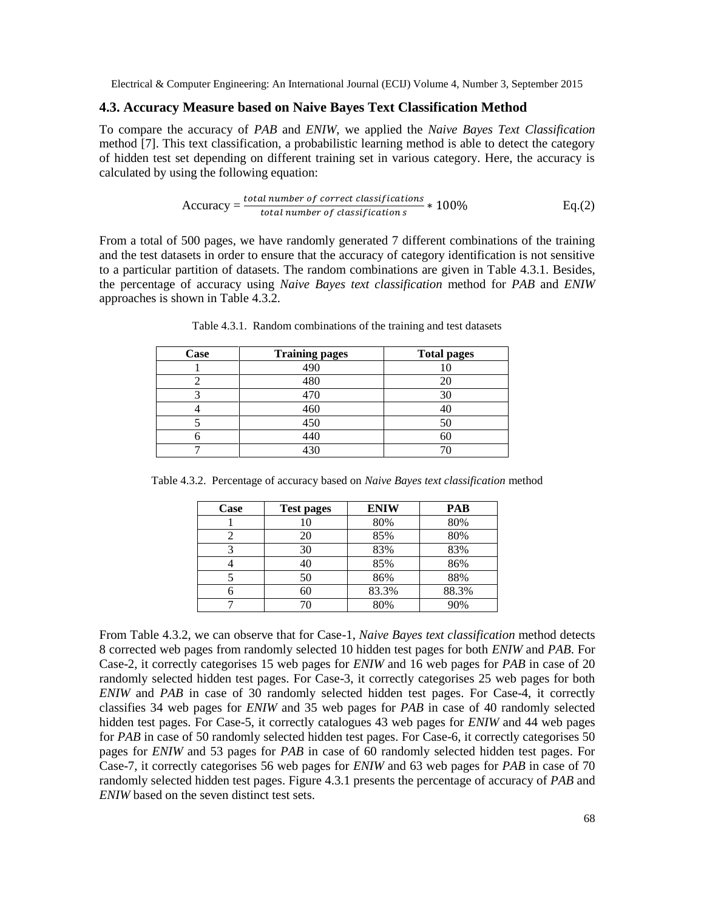### **4.3. Accuracy Measure based on Naive Bayes Text Classification Method**

To compare the accuracy of *PAB* and *ENIW*, we applied the *Naive Bayes Text Classification* method [7]. This text classification, a probabilistic learning method is able to detect the category of hidden test set depending on different training set in various category. Here, the accuracy is calculated by using the following equation:

$$
Accuracy = \frac{total\ number\ of\ correct\ classifications}{total\ number\ of\ classification\ s} * 100\%
$$
 Eq.(2)

From a total of 500 pages, we have randomly generated 7 different combinations of the training and the test datasets in order to ensure that the accuracy of category identification is not sensitive to a particular partition of datasets. The random combinations are given in Table 4.3.1. Besides, the percentage of accuracy using *Naive Bayes text classification* method for *PAB* and *ENIW* approaches is shown in Table 4.3.2.

| <b>Case</b> | <b>Training pages</b> | <b>Total pages</b> |
|-------------|-----------------------|--------------------|
|             | 490                   |                    |
|             | 480                   |                    |
|             | 470                   |                    |
|             | 460                   |                    |
|             | 450                   |                    |
|             | 440                   |                    |
|             | 430                   |                    |

Table 4.3.1. Random combinations of the training and test datasets

Table 4.3.2. Percentage of accuracy based on *Naive Bayes text classification* method

| Case | <b>Test pages</b> | <b>ENIW</b> | PAB   |
|------|-------------------|-------------|-------|
|      |                   | 80%         | 80%   |
|      | 20                | 85%         | 80%   |
|      | 30                | 83%         | 83%   |
|      | 40                | 85%         | 86%   |
|      | 50                | 86%         | 88%   |
| 6    | 60                | 83.3%       | 88.3% |
|      |                   | 80%         | 90%   |

From Table 4.3.2, we can observe that for Case-1, *Naive Bayes text classification* method detects 8 corrected web pages from randomly selected 10 hidden test pages for both *ENIW* and *PAB*. For Case-2, it correctly categorises 15 web pages for *ENIW* and 16 web pages for *PAB* in case of 20 randomly selected hidden test pages. For Case-3, it correctly categorises 25 web pages for both *ENIW* and *PAB* in case of 30 randomly selected hidden test pages. For Case-4, it correctly classifies 34 web pages for *ENIW* and 35 web pages for *PAB* in case of 40 randomly selected hidden test pages. For Case-5, it correctly catalogues 43 web pages for *ENIW* and 44 web pages for *PAB* in case of 50 randomly selected hidden test pages. For Case-6, it correctly categorises 50 pages for *ENIW* and 53 pages for *PAB* in case of 60 randomly selected hidden test pages. For Case-7, it correctly categorises 56 web pages for *ENIW* and 63 web pages for *PAB* in case of 70 randomly selected hidden test pages. Figure 4.3.1 presents the percentage of accuracy of *PAB* and *ENIW* based on the seven distinct test sets.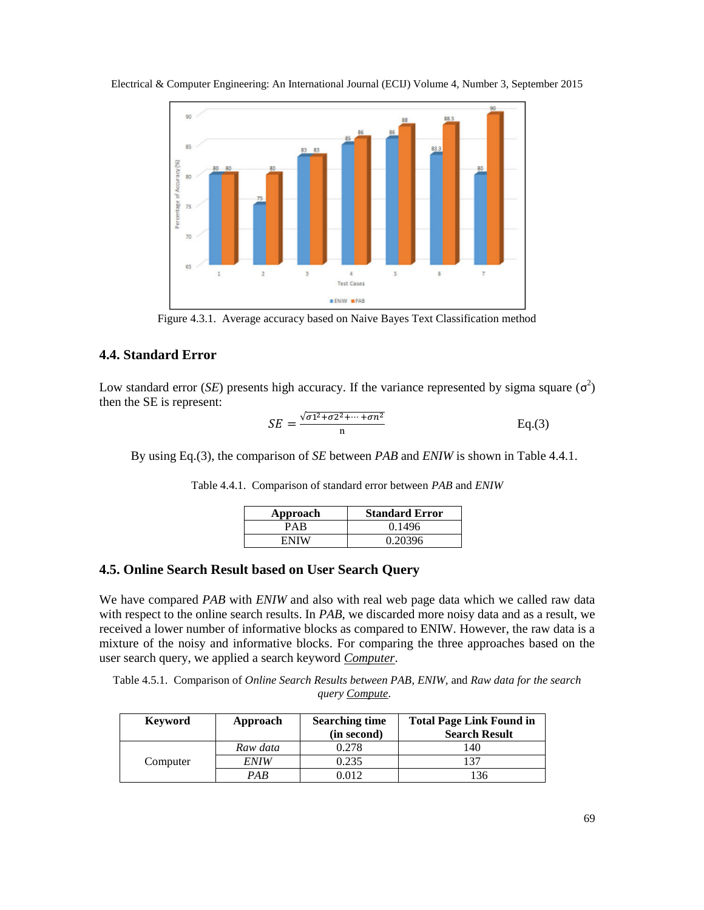

Electrical & Computer Engineering: An International Journal (ECIJ) Volume 4, Number 3, September 2015

Figure 4.3.1. Average accuracy based on Naive Bayes Text Classification method

### **4.4. Standard Error**

Low standard error (*SE*) presents high accuracy. If the variance represented by sigma square  $(\sigma^2)$ then the SE is represent:

$$
SE = \frac{\sqrt{\sigma_1^2 + \sigma_2^2 + \dots + \sigma_n^2}}{n}
$$
 Eq.(3)

By using Eq.(3), the comparison of *SE* between *PAB* and *ENIW* is shown in Table 4.4.1.

| Approach | <b>Standard Error</b> |  |
|----------|-----------------------|--|
| PAR      | 0.1496                |  |
| ENIW     | 0.20396               |  |

Table 4.4.1. Comparison of standard error between *PAB* and *ENIW*

## **4.5. Online Search Result based on User Search Query**

We have compared *PAB* with *ENIW* and also with real web page data which we called raw data with respect to the online search results. In *PAB*, we discarded more noisy data and as a result, we received a lower number of informative blocks as compared to ENIW. However, the raw data is a mixture of the noisy and informative blocks. For comparing the three approaches based on the user search query, we applied a search keyword *Computer*.

Table 4.5.1. Comparison of *Online Search Results between PAB*, *ENIW*, and *Raw data for the search query Compute*.

| Keyword  | Approach    | <b>Searching time</b><br>(in second) | <b>Total Page Link Found in</b><br><b>Search Result</b> |
|----------|-------------|--------------------------------------|---------------------------------------------------------|
|          | Raw data    | 0.278                                | 140                                                     |
| Computer | <i>ENIW</i> | 0.235                                | 137                                                     |
|          | PAB         | 012 (                                | 136                                                     |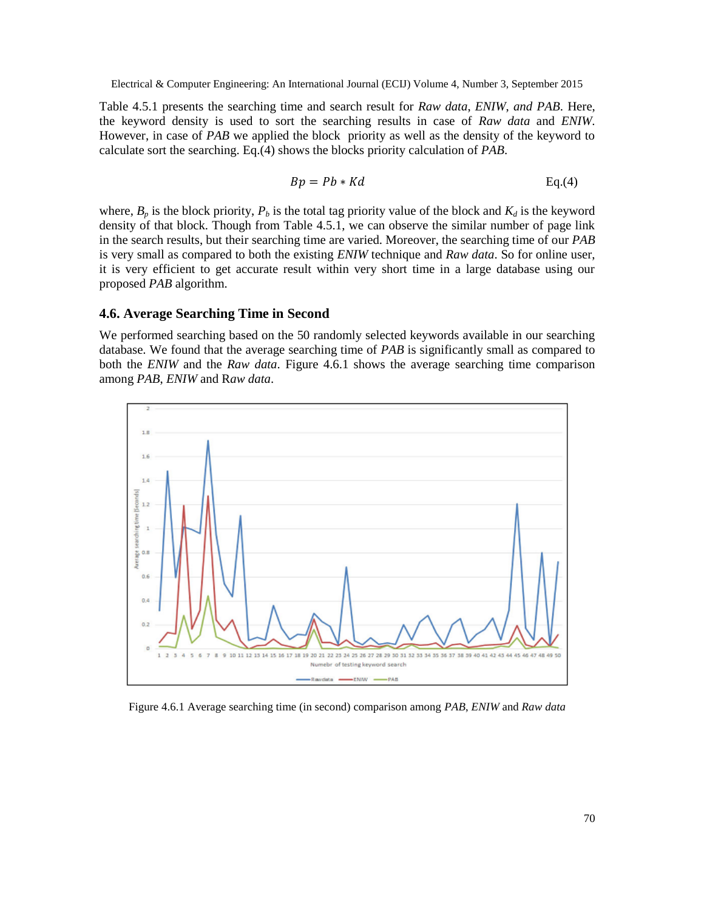Table 4.5.1 presents the searching time and search result for *Raw data*, *ENIW*, *and PAB*. Here, the keyword density is used to sort the searching results in case of *Raw data* and *ENIW*. However, in case of *PAB* we applied the block priority as well as the density of the keyword to calculate sort the searching. Eq.(4) shows the blocks priority calculation of *PAB*.

$$
Bp = Pb * Kd \qquad \qquad Eq.(4)
$$

where,  $B_p$  is the block priority,  $P_b$  is the total tag priority value of the block and  $K_d$  is the keyword density of that block. Though from Table 4.5.1, we can observe the similar number of page link in the search results, but their searching time are varied. Moreover, the searching time of our *PAB* is very small as compared to both the existing *ENIW* technique and *Raw data*. So for online user, it is very efficient to get accurate result within very short time in a large database using our proposed *PAB* algorithm.

### **4.6. Average Searching Time in Second**

We performed searching based on the 50 randomly selected keywords available in our searching database. We found that the average searching time of *PAB* is significantly small as compared to both the *ENIW* and the *Raw data*. Figure 4.6.1 shows the average searching time comparison among *PAB*, *ENIW* and R*aw data*.



Figure 4.6.1 Average searching time (in second) comparison among *PAB*, *ENIW* and *Raw data*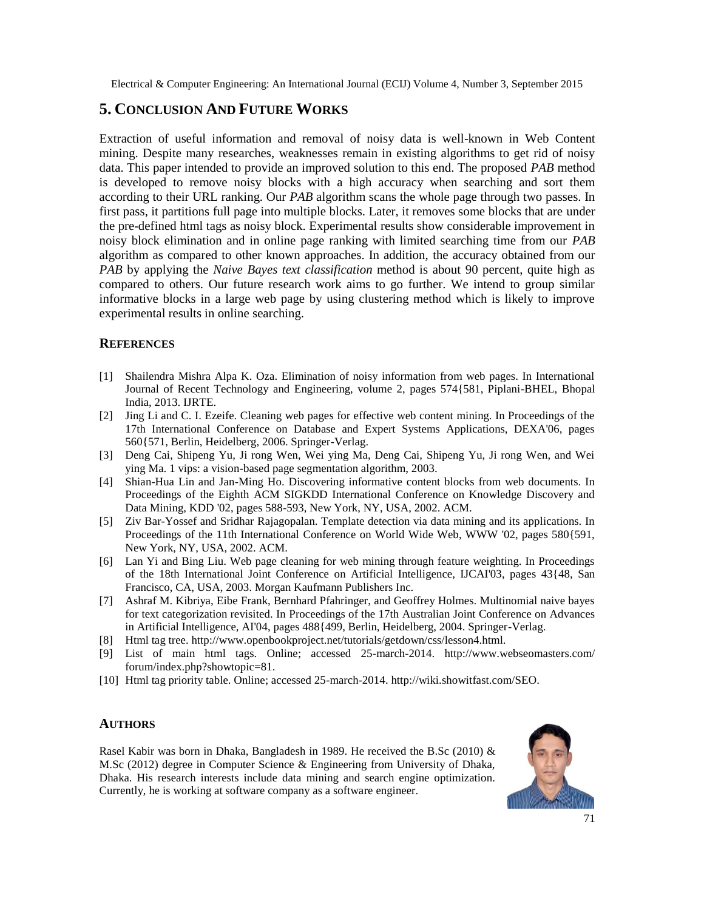# **5. CONCLUSION AND FUTURE WORKS**

Extraction of useful information and removal of noisy data is well-known in Web Content mining. Despite many researches, weaknesses remain in existing algorithms to get rid of noisy data. This paper intended to provide an improved solution to this end. The proposed *PAB* method is developed to remove noisy blocks with a high accuracy when searching and sort them according to their URL ranking. Our *PAB* algorithm scans the whole page through two passes. In first pass, it partitions full page into multiple blocks. Later, it removes some blocks that are under the pre-defined html tags as noisy block. Experimental results show considerable improvement in noisy block elimination and in online page ranking with limited searching time from our *PAB* algorithm as compared to other known approaches. In addition, the accuracy obtained from our *PAB* by applying the *Naive Bayes text classification* method is about 90 percent, quite high as compared to others. Our future research work aims to go further. We intend to group similar informative blocks in a large web page by using clustering method which is likely to improve experimental results in online searching.

### **REFERENCES**

- [1] Shailendra Mishra Alpa K. Oza. Elimination of noisy information from web pages. In International Journal of Recent Technology and Engineering, volume 2, pages 574{581, Piplani-BHEL, Bhopal India, 2013. IJRTE.
- [2] Jing Li and C. I. Ezeife. Cleaning web pages for effective web content mining. In Proceedings of the 17th International Conference on Database and Expert Systems Applications, DEXA'06, pages 560{571, Berlin, Heidelberg, 2006. Springer-Verlag.
- [3] Deng Cai, Shipeng Yu, Ji rong Wen, Wei ying Ma, Deng Cai, Shipeng Yu, Ji rong Wen, and Wei ying Ma. 1 vips: a vision-based page segmentation algorithm, 2003.
- [4] Shian-Hua Lin and Jan-Ming Ho. Discovering informative content blocks from web documents. In Proceedings of the Eighth ACM SIGKDD International Conference on Knowledge Discovery and Data Mining, KDD '02, pages 588-593, New York, NY, USA, 2002. ACM.
- [5] Ziv Bar-Yossef and Sridhar Rajagopalan. Template detection via data mining and its applications. In Proceedings of the 11th International Conference on World Wide Web, WWW '02, pages 580{591, New York, NY, USA, 2002. ACM.
- [6] Lan Yi and Bing Liu. Web page cleaning for web mining through feature weighting. In Proceedings of the 18th International Joint Conference on Artificial Intelligence, IJCAI'03, pages 43{48, San Francisco, CA, USA, 2003. Morgan Kaufmann Publishers Inc.
- [7] Ashraf M. Kibriya, Eibe Frank, Bernhard Pfahringer, and Geoffrey Holmes. Multinomial naive bayes for text categorization revisited. In Proceedings of the 17th Australian Joint Conference on Advances in Artificial Intelligence, AI'04, pages 488{499, Berlin, Heidelberg, 2004. Springer-Verlag.
- [8] Html tag tree. http://www.openbookproject.net/tutorials/getdown/css/lesson4.html.
- [9] List of main html tags. Online; accessed 25-march-2014. http://www.webseomasters.com/ forum/index.php?showtopic=81.
- [10] Html tag priority table. Online; accessed 25-march-2014. http://wiki.showitfast.com/SEO.

### **AUTHORS**

Rasel Kabir was born in Dhaka, Bangladesh in 1989. He received the B.Sc (2010) & M.Sc (2012) degree in Computer Science & Engineering from University of Dhaka, Dhaka. His research interests include data mining and search engine optimization. Currently, he is working at software company as a software engineer.